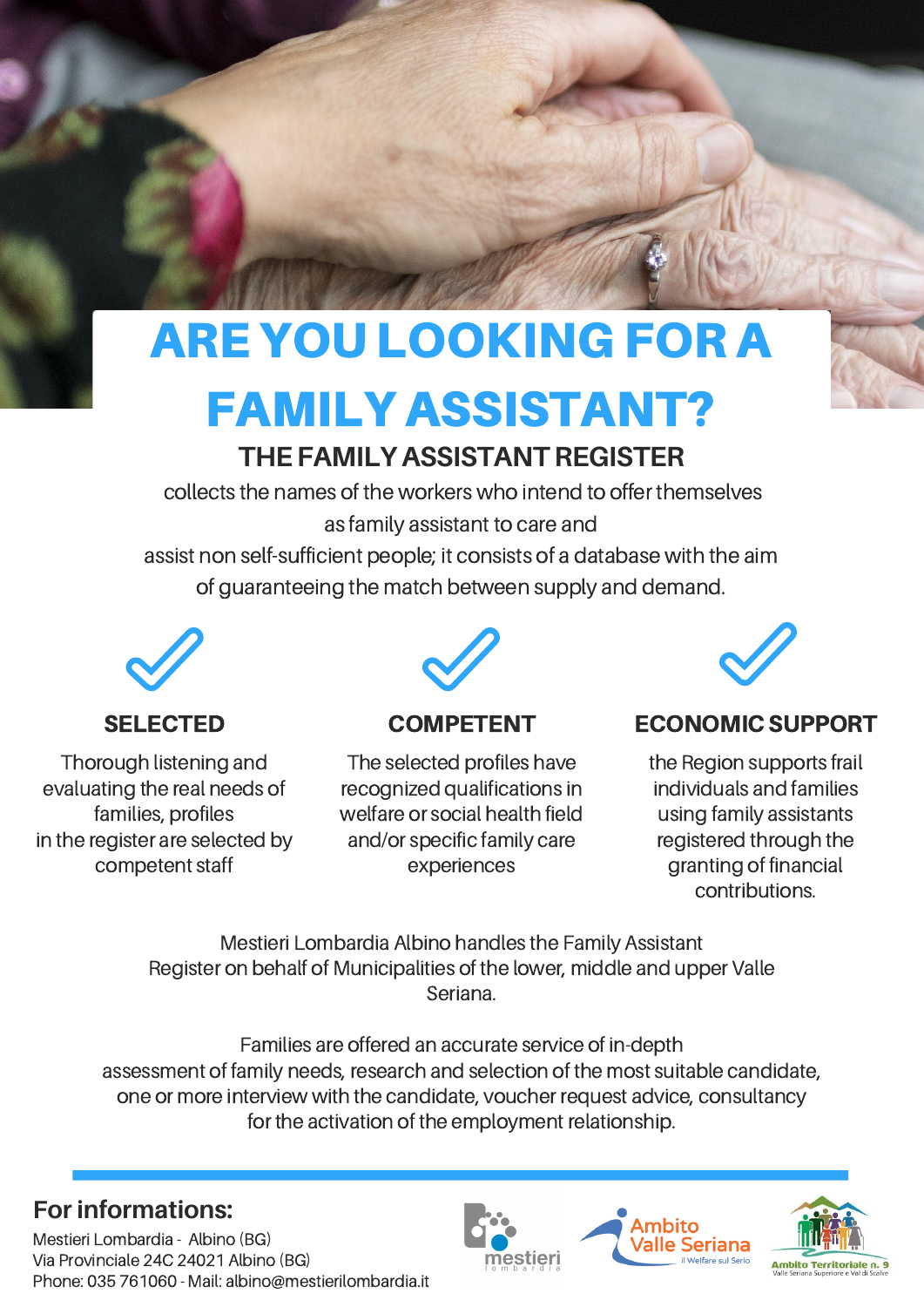# ARE YOU LOOKING FOR A

## FAMILY ASSISTANT?

### **THE FAMILY ASSISTANT REGISTER**

collects the names of the workers who intend to offer themselves as family assistant to care and

assist non self-sufficient people; it consists of a database with the aim of guaranteeing the match between supply and demand.



Thorough listening and evaluating the real needs of families, profiles in the register are selected by competent staff



#### COMPETENT

The selected profiles have recognized qualifications in welfare or social health field and/or specific family care experiences



#### SELECTED COMPETENT ECONOMIC SUPPORT

the Region supports frail individuals and families using family assistants registered through the granting of financial contributions.

Mestieri Lombardia Albino handles the Family Assistant Register on behalf of Municipalities of the lower, middle and upper Valle Seriana.

Families are offered an accurate service of in-depth assessment of family needs, research and selection of the most suitable candidate, one or more interview with the candidate, voucher request advice, consultancy for the activation of the employment relationship.

#### **For informations:**

Mestieri Lombardia - Albino (BG) Via Provinciale 24C 24021 Albino (BG) Phone: 035 761060 - Mail: albino@mestierilombardia.it